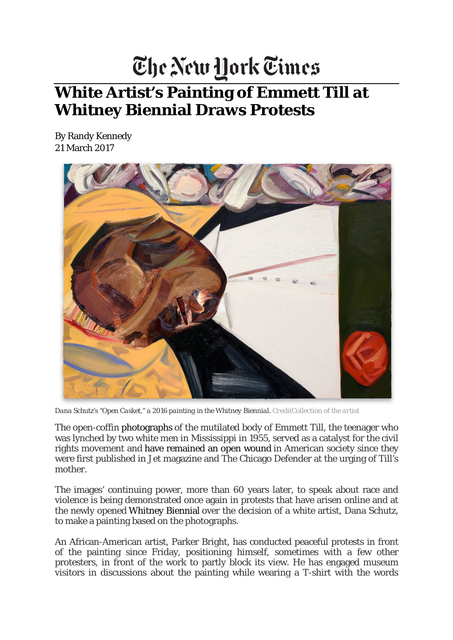## The New York Times

## **White Artist's Painting of Emmett Till at Whitney Biennial Draws Protests**

By [Randy Kennedy](https://www.nytimes.com/by/randy-kennedy) 21 March 2017



*Dana Schutz's "Open Casket," a 2016 painting in the Whitney Biennial. CreditCollection of the artist*

The open-coffin photographs of the mutilated body of Emmett Till, the teenager who was lynched by two white men in Mississippi in 1955, served as a catalyst for the civil rights movement and have remained an open wound in American society since they were first published in Jet magazine and The Chicago Defender at the urging of Till's mother.

The images' continuing power, more than 60 years later, to speak about race and violence is being demonstrated once again in protests that have arisen online and at the newly opened Whitney Biennial over the decision of a white artist, Dana Schutz, to make a painting based on the photographs.

An African-American artist, Parker Bright, has conducted peaceful protests in front of the painting since Friday, positioning himself, sometimes with a few other protesters, in front of the work to partly block its view. He has engaged museum visitors in discussions about the painting while wearing a T-shirt with the words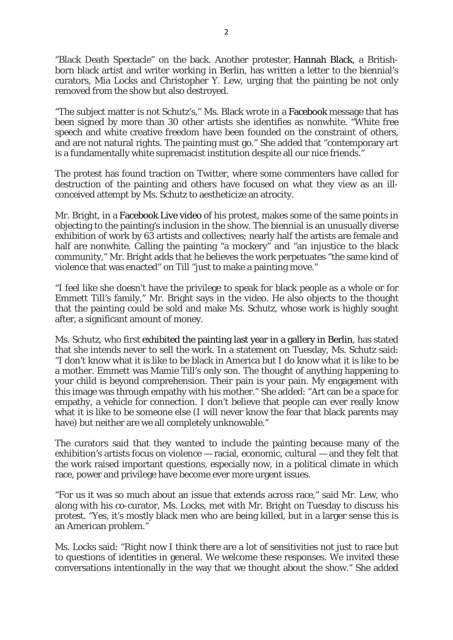"Black Death Spectacle" on the back. Another protester, Hannah Black, a Britishborn black artist and writer working in Berlin, has written a letter to the biennial's curators, Mia Locks and Christopher Y. Lew, urging that the painting be not only removed from the show but also destroyed.

"The subject matter is not Schutz's," Ms. Black wrote in a Facebook message that has been signed by more than 30 other artists she identifies as nonwhite. "White free speech and white creative freedom have been founded on the constraint of others, and are not natural rights. The painting must go." She added that "contemporary art is a fundamentally white supremacist institution despite all our nice friends."

The protest has found traction on Twitter, where some commenters have called for destruction of the painting and others have focused on what they view as an illconceived attempt by Ms. Schutz to aestheticize an atrocity.

Mr. Bright, in a Facebook Live video of his protest, makes some of the same points in objecting to the painting's inclusion in the show. The biennial is an unusually diverse exhibition of work by 63 artists and collectives; nearly half the artists are female and half are nonwhite. Calling the painting "a mockery" and "an injustice to the black community," Mr. Bright adds that he believes the work perpetuates "the same kind of violence that was enacted" on Till "just to make a painting move."

"I feel like she doesn't have the privilege to speak for black people as a whole or for Emmett Till's family," Mr. Bright says in the video. He also objects to the thought that the painting could be sold and make Ms. Schutz, whose work is highly sought after, a significant amount of money.

Ms. Schutz, who first exhibited the painting last year in a gallery in Berlin, has stated that she intends never to sell the work. In a statement on Tuesday, Ms. Schutz said: "I don't know what it is like to be black in America but I do know what it is like to be a mother. Emmett was Mamie Till's only son. The thought of anything happening to your child is beyond comprehension. Their pain is your pain. My engagement with this image was through empathy with his mother." She added: "Art can be a space for empathy, a vehicle for connection. I don't believe that people can ever really know what it is like to be someone else (I will never know the fear that black parents may have) but neither are we all completely unknowable."

The curators said that they wanted to include the painting because many of the exhibition's artists focus on violence — racial, economic, cultural — and they felt that the work raised important questions, especially now, in a political climate in which race, power and privilege have become ever more urgent issues.

"For us it was so much about an issue that extends across race," said Mr. Lew, who along with his co-curator, Ms. Locks, met with Mr. Bright on Tuesday to discuss his protest. "Yes, it's mostly black men who are being killed, but in a larger sense this is an American problem."

Ms. Locks said: "Right now I think there are a lot of sensitivities not just to race but to questions of identities in general. We welcome these responses. We invited these conversations intentionally in the way that we thought about the show." She added